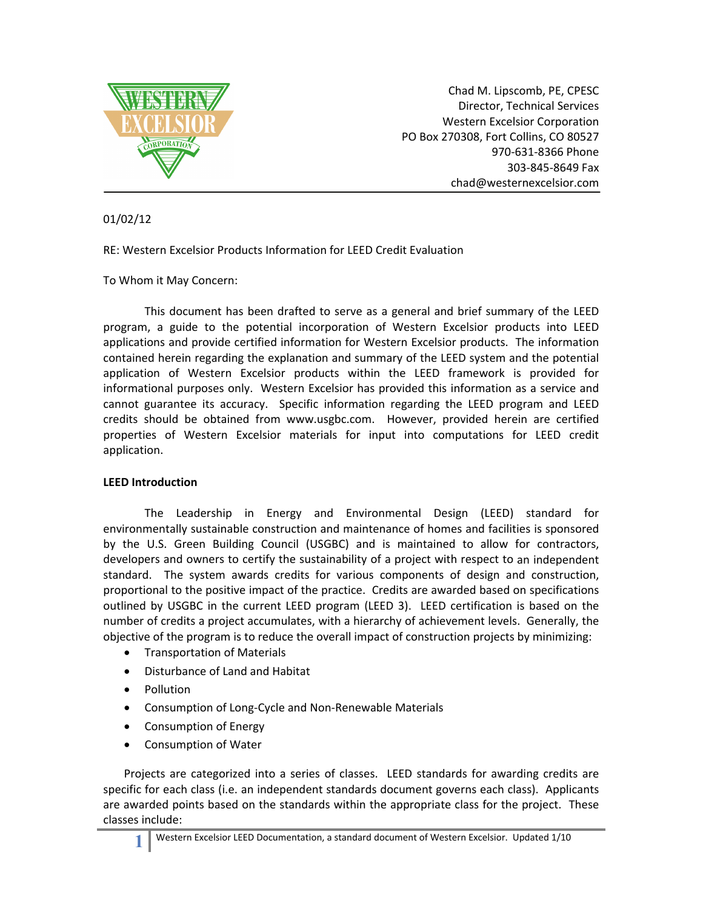

Chad M. Lipscomb, PE, CPESC Director, Technical Services Western Excelsior Corporation PO Box 270308, Fort Collins, CO 80527 970‐631‐8366 Phone 303‐845‐8649 Fax chad@westernexcelsior.com

01/02/12

RE: Western Excelsior Products Information for LEED Credit Evaluation

To Whom it May Concern:

This document has been drafted to serve as a general and brief summary of the LEED program, a guide to the potential incorporation of Western Excelsior products into LEED applications and provide certified information for Western Excelsior products. The information contained herein regarding the explanation and summary of the LEED system and the potential application of Western Excelsior products within the LEED framework is provided for informational purposes only. Western Excelsior has provided this information as a service and cannot guarantee its accuracy. Specific information regarding the LEED program and LEED credits should be obtained from www.usgbc.com. However, provided herein are certified properties of Western Excelsior materials for input into computations for LEED credit application.

## **LEED Introduction**

The Leadership in Energy and Environmental Design (LEED) standard for environmentally sustainable construction and maintenance of homes and facilities is sponsored by the U.S. Green Building Council (USGBC) and is maintained to allow for contractors, developers and owners to certify the sustainability of a project with respect to an independent standard. The system awards credits for various components of design and construction, proportional to the positive impact of the practice. Credits are awarded based on specifications outlined by USGBC in the current LEED program (LEED 3). LEED certification is based on the number of credits a project accumulates, with a hierarchy of achievement levels. Generally, the objective of the program is to reduce the overall impact of construction projects by minimizing:

- **•** Transportation of Materials
- Disturbance of Land and Habitat
- Pollution
- Consumption of Long‐Cycle and Non‐Renewable Materials
- Consumption of Energy
- Consumption of Water

Projects are categorized into a series of classes. LEED standards for awarding credits are specific for each class (i.e. an independent standards document governs each class). Applicants are awarded points based on the standards within the appropriate class for the project. These classes include: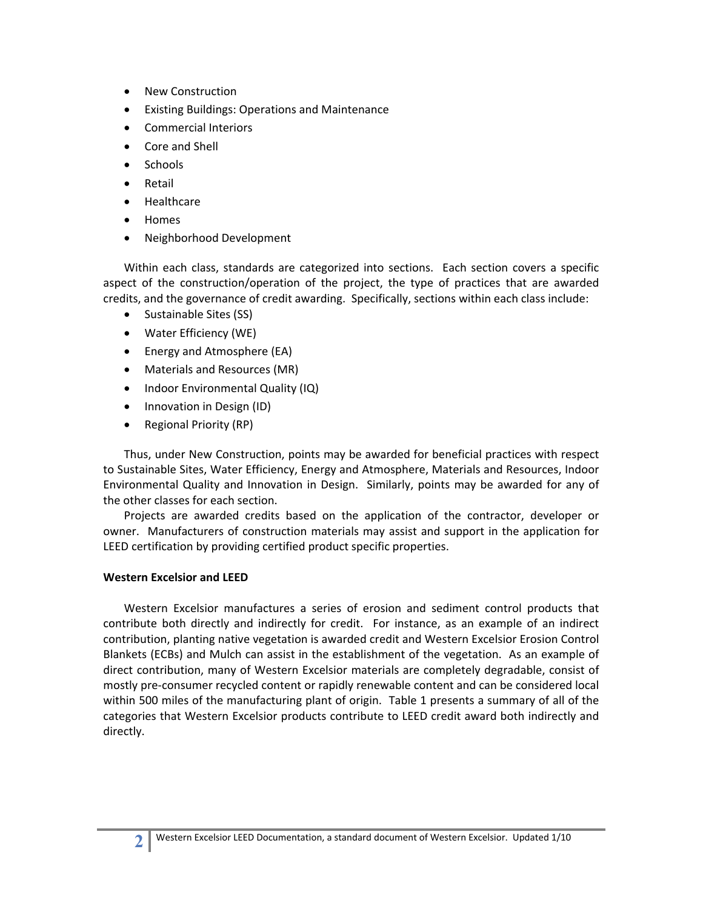- New Construction
- Existing Buildings: Operations and Maintenance
- Commercial Interiors
- Core and Shell
- Schools
- Retail
- Healthcare
- Homes
- Neighborhood Development

Within each class, standards are categorized into sections. Each section covers a specific aspect of the construction/operation of the project, the type of practices that are awarded credits, and the governance of credit awarding. Specifically, sections within each class include:

- Sustainable Sites (SS)
- Water Efficiency (WE)
- Energy and Atmosphere (EA)
- Materials and Resources (MR)
- Indoor Environmental Quality (IQ)
- Innovation in Design (ID)
- Regional Priority (RP)

Thus, under New Construction, points may be awarded for beneficial practices with respect to Sustainable Sites, Water Efficiency, Energy and Atmosphere, Materials and Resources, Indoor Environmental Quality and Innovation in Design. Similarly, points may be awarded for any of the other classes for each section.

Projects are awarded credits based on the application of the contractor, developer or owner. Manufacturers of construction materials may assist and support in the application for LEED certification by providing certified product specific properties.

## **Western Excelsior and LEED**

Western Excelsior manufactures a series of erosion and sediment control products that contribute both directly and indirectly for credit. For instance, as an example of an indirect contribution, planting native vegetation is awarded credit and Western Excelsior Erosion Control Blankets (ECBs) and Mulch can assist in the establishment of the vegetation. As an example of direct contribution, many of Western Excelsior materials are completely degradable, consist of mostly pre‐consumer recycled content or rapidly renewable content and can be considered local within 500 miles of the manufacturing plant of origin. Table 1 presents a summary of all of the categories that Western Excelsior products contribute to LEED credit award both indirectly and directly.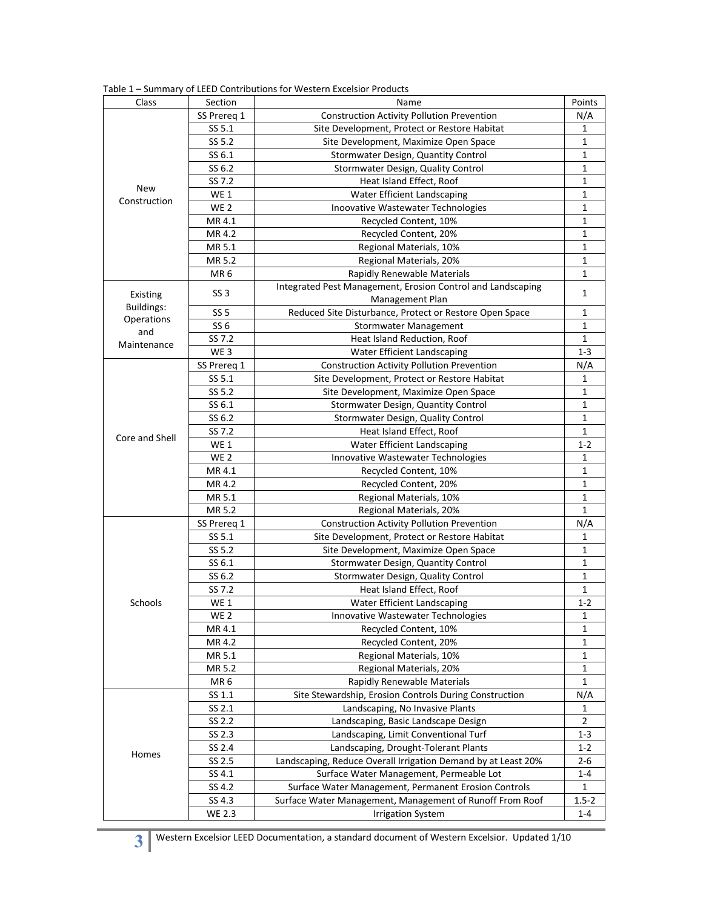| Class                                              | Section         | Name                                                                         | Points       |
|----------------------------------------------------|-----------------|------------------------------------------------------------------------------|--------------|
| New<br>Construction                                | SS Prereg 1     | <b>Construction Activity Pollution Prevention</b>                            | N/A          |
|                                                    | SS 5.1          | Site Development, Protect or Restore Habitat                                 | 1            |
|                                                    | SS 5.2          | Site Development, Maximize Open Space                                        | $\mathbf{1}$ |
|                                                    | SS 6.1          | Stormwater Design, Quantity Control                                          | 1            |
|                                                    | SS 6.2          | Stormwater Design, Quality Control                                           | 1            |
|                                                    | SS 7.2          | Heat Island Effect, Roof                                                     | 1            |
|                                                    | <b>WE1</b>      | Water Efficient Landscaping                                                  | 1            |
|                                                    | WE <sub>2</sub> | Inoovative Wastewater Technologies                                           | 1            |
|                                                    | MR 4.1          | Recycled Content, 10%                                                        | 1            |
|                                                    | MR 4.2          | Recycled Content, 20%                                                        | 1            |
|                                                    | MR 5.1          | Regional Materials, 10%                                                      | 1            |
|                                                    | MR 5.2          | Regional Materials, 20%                                                      | 1            |
|                                                    | MR <sub>6</sub> | Rapidly Renewable Materials                                                  | 1            |
| Existing<br><b>Buildings:</b><br>Operations<br>and | SS <sub>3</sub> | Integrated Pest Management, Erosion Control and Landscaping                  |              |
|                                                    |                 | Management Plan                                                              | $\mathbf{1}$ |
|                                                    | <b>SS 5</b>     | Reduced Site Disturbance, Protect or Restore Open Space                      | 1            |
|                                                    | SS <sub>6</sub> | Stormwater Management                                                        | 1            |
|                                                    | SS 7.2          | Heat Island Reduction, Roof                                                  | 1            |
| Maintenance                                        | WE <sub>3</sub> | Water Efficient Landscaping                                                  | $1 - 3$      |
| Core and Shell                                     | SS Prereq 1     | <b>Construction Activity Pollution Prevention</b>                            | N/A          |
|                                                    | SS 5.1          | Site Development, Protect or Restore Habitat                                 | 1            |
|                                                    | SS 5.2          | Site Development, Maximize Open Space                                        | 1            |
|                                                    | SS 6.1          | Stormwater Design, Quantity Control                                          | 1            |
|                                                    | SS 6.2          | Stormwater Design, Quality Control                                           | $\mathbf{1}$ |
|                                                    | SS 7.2          | Heat Island Effect, Roof                                                     | 1            |
|                                                    | WE <sub>1</sub> | Water Efficient Landscaping                                                  | $1 - 2$      |
|                                                    | WE <sub>2</sub> | Innovative Wastewater Technologies                                           | 1            |
|                                                    | MR 4.1          | Recycled Content, 10%                                                        | 1            |
|                                                    | MR 4.2          | Recycled Content, 20%                                                        | 1            |
|                                                    | MR 5.1          | Regional Materials, 10%                                                      | 1            |
|                                                    | MR 5.2          | Regional Materials, 20%                                                      | 1            |
|                                                    | SS Prereq 1     | Construction Activity Pollution Prevention                                   | N/A          |
| <b>Schools</b>                                     | SS 5.1          | Site Development, Protect or Restore Habitat                                 | 1            |
|                                                    | SS 5.2          |                                                                              | 1            |
|                                                    | SS 6.1          | Site Development, Maximize Open Space<br>Stormwater Design, Quantity Control | $\mathbf{1}$ |
|                                                    | SS 6.2          | Stormwater Design, Quality Control                                           | 1            |
|                                                    | SS 7.2          | Heat Island Effect, Roof                                                     | 1            |
|                                                    | <b>WE1</b>      | Water Efficient Landscaping                                                  | $1 - 2$      |
|                                                    | WE <sub>2</sub> | Innovative Wastewater Technologies                                           |              |
|                                                    | MR 4.1          |                                                                              | 1<br>1       |
|                                                    | MR 4.2          | Recycled Content, 10%                                                        |              |
|                                                    |                 | Recycled Content, 20%                                                        | 1            |
|                                                    | MR 5.1          | Regional Materials, 10%                                                      | 1            |
|                                                    | MR 5.2          | Regional Materials, 20%                                                      | 1            |
| Homes                                              | MR <sub>6</sub> | Rapidly Renewable Materials                                                  | 1            |
|                                                    | SS 1.1          | Site Stewardship, Erosion Controls During Construction                       | N/A          |
|                                                    | SS 2.1          | Landscaping, No Invasive Plants                                              | 1            |
|                                                    | SS 2.2          | Landscaping, Basic Landscape Design                                          | 2            |
|                                                    | SS 2.3          | Landscaping, Limit Conventional Turf                                         | $1 - 3$      |
|                                                    | SS 2.4          | Landscaping, Drought-Tolerant Plants                                         | $1 - 2$      |
|                                                    | SS 2.5          | Landscaping, Reduce Overall Irrigation Demand by at Least 20%                | $2 - 6$      |
|                                                    | SS 4.1          | Surface Water Management, Permeable Lot                                      | $1 - 4$      |
|                                                    | SS 4.2          | Surface Water Management, Permanent Erosion Controls                         | $\mathbf{1}$ |
|                                                    | SS 4.3          | Surface Water Management, Management of Runoff From Roof                     | $1.5 - 2$    |
|                                                    | <b>WE 2.3</b>   | <b>Irrigation System</b>                                                     | $1 - 4$      |

Table 1 – Summary of LEED Contributions for Western Excelsior Products

**3** Western Excelsior LEED Documentation, a standard document of Western Excelsior. Updated 1/10